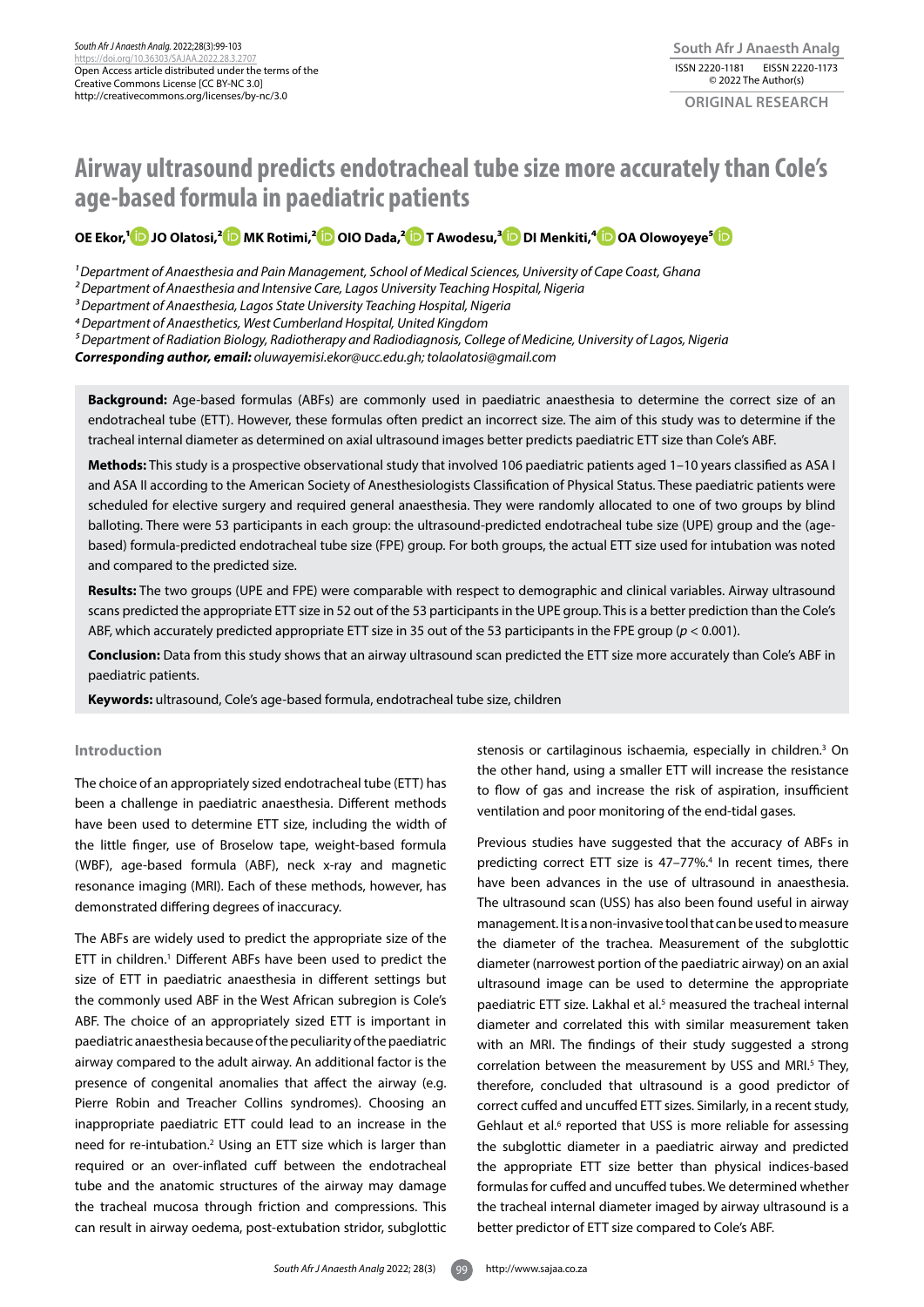# **Airway ultrasound predicts endotracheal tube size more accurately than Cole's age-based formula in paediatric patients**

**OE Ekor,[1 J](https://orcid.org/0000-0002-3844-8949)O Olatosi,[2 M](https://orcid.org/0000-0002-2425-6196)K Rotimi,[2 O](https://orcid.org/0000-0002-7287-7915)IO Dada,[2 T](https://orcid.org/0000-0002-9402-6054) Awodesu,[3](https://orcid.org/0000-0003-1260-2845) DI Menkiti,[⁴](https://orcid.org/0000-0002-2907-0382) OA Olowoyeye[⁵](https://orcid.org/0000-0003-0067-020X)**

*1 Department of Anaesthesia and Pain Management, School of Medical Sciences, University of Cape Coast, Ghana*

*2 Department of Anaesthesia and Intensive Care, Lagos University Teaching Hospital, Nigeria*

*3 Department of Anaesthesia, Lagos State University Teaching Hospital, Nigeria*

*4 Department of Anaesthetics, West Cumberland Hospital, United Kingdom*

*⁵ Department of Radiation Biology, Radiotherapy and Radiodiagnosis, College of Medicine, University of Lagos, Nigeria*

*Corresponding author, email: oluwayemisi.ekor@ucc.edu.gh; tolaolatosi@gmail.com*

**Background:** Age-based formulas (ABFs) are commonly used in paediatric anaesthesia to determine the correct size of an endotracheal tube (ETT). However, these formulas often predict an incorrect size. The aim of this study was to determine if the tracheal internal diameter as determined on axial ultrasound images better predicts paediatric ETT size than Cole's ABF.

**Methods:** This study is a prospective observational study that involved 106 paediatric patients aged 1–10 years classified as ASA I and ASA II according to the American Society of Anesthesiologists Classification of Physical Status. These paediatric patients were scheduled for elective surgery and required general anaesthesia. They were randomly allocated to one of two groups by blind balloting. There were 53 participants in each group: the ultrasound-predicted endotracheal tube size (UPE) group and the (agebased) formula-predicted endotracheal tube size (FPE) group. For both groups, the actual ETT size used for intubation was noted and compared to the predicted size.

**Results:** The two groups (UPE and FPE) were comparable with respect to demographic and clinical variables. Airway ultrasound scans predicted the appropriate ETT size in 52 out of the 53 participants in the UPE group. This is a better prediction than the Cole's ABF, which accurately predicted appropriate ETT size in 35 out of the 53 participants in the FPE group (*p* < 0.001).

**Conclusion:** Data from this study shows that an airway ultrasound scan predicted the ETT size more accurately than Cole's ABF in paediatric patients.

**Keywords:** ultrasound, Cole's age-based formula, endotracheal tube size, children

## **Introduction**

The choice of an appropriately sized endotracheal tube (ETT) has been a challenge in paediatric anaesthesia. Different methods have been used to determine ETT size, including the width of the little finger, use of Broselow tape, weight-based formula (WBF), age-based formula (ABF), neck x-ray and magnetic resonance imaging (MRI). Each of these methods, however, has demonstrated differing degrees of inaccuracy.

The ABFs are widely used to predict the appropriate size of the ETT in children.<sup>1</sup> Different ABFs have been used to predict the size of ETT in paediatric anaesthesia in different settings but the commonly used ABF in the West African subregion is Cole's ABF. The choice of an appropriately sized ETT is important in paediatric anaesthesia because of the peculiarity of the paediatric airway compared to the adult airway. An additional factor is the presence of congenital anomalies that affect the airway (e.g. Pierre Robin and Treacher Collins syndromes). Choosing an inappropriate paediatric ETT could lead to an increase in the need for re-intubation.2 Using an ETT size which is larger than required or an over-inflated cuff between the endotracheal tube and the anatomic structures of the airway may damage the tracheal mucosa through friction and compressions. This can result in airway oedema, post-extubation stridor, subglottic

stenosis or cartilaginous ischaemia, especially in children.3 On the other hand, using a smaller ETT will increase the resistance to flow of gas and increase the risk of aspiration, insufficient ventilation and poor monitoring of the end-tidal gases.

Previous studies have suggested that the accuracy of ABFs in predicting correct ETT size is 47-77%.<sup>4</sup> In recent times, there have been advances in the use of ultrasound in anaesthesia. The ultrasound scan (USS) has also been found useful in airway management. It is a non-invasive tool that can be used to measure the diameter of the trachea. Measurement of the subglottic diameter (narrowest portion of the paediatric airway) on an axial ultrasound image can be used to determine the appropriate paediatric ETT size. Lakhal et al.<sup>5</sup> measured the tracheal internal diameter and correlated this with similar measurement taken with an MRI. The findings of their study suggested a strong correlation between the measurement by USS and MRI.5 They, therefore, concluded that ultrasound is a good predictor of correct cuffed and uncuffed ETT sizes. Similarly, in a recent study, Gehlaut et al.<sup>6</sup> reported that USS is more reliable for assessing the subglottic diameter in a paediatric airway and predicted the appropriate ETT size better than physical indices-based formulas for cuffed and uncuffed tubes. We determined whether the tracheal internal diameter imaged by airway ultrasound is a better predictor of ETT size compared to Cole's ABF.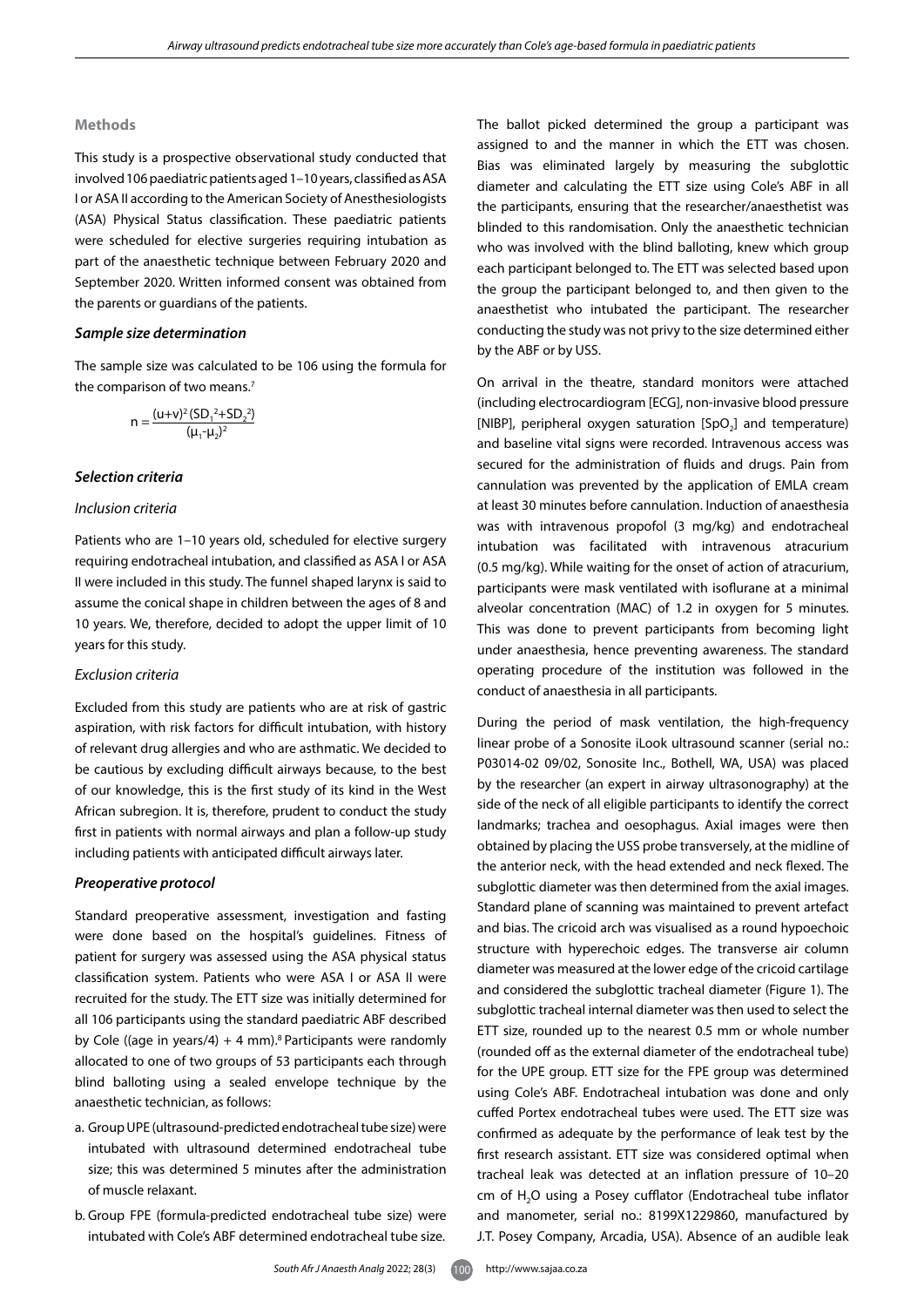#### **Methods**

This study is a prospective observational study conducted that involved 106 paediatric patients aged 1–10 years, classified as ASA I or ASA II according to the American Society of Anesthesiologists (ASA) Physical Status classification. These paediatric patients were scheduled for elective surgeries requiring intubation as part of the anaesthetic technique between February 2020 and September 2020. Written informed consent was obtained from the parents or guardians of the patients.

## *Sample size determination*

The sample size was calculated to be 106 using the formula for the comparison of two means.7

$$
n = \frac{(u+v)^2 (SD_1^2 + SD_2^2)}{(\mu_1 - \mu_2)^2}
$$

#### *Selection criteria*

#### *Inclusion criteria*

Patients who are 1–10 years old, scheduled for elective surgery requiring endotracheal intubation, and classified as ASA I or ASA II were included in this study. The funnel shaped larynx is said to assume the conical shape in children between the ages of 8 and 10 years. We, therefore, decided to adopt the upper limit of 10 years for this study.

#### *Exclusion criteria*

Excluded from this study are patients who are at risk of gastric aspiration, with risk factors for difficult intubation, with history of relevant drug allergies and who are asthmatic. We decided to be cautious by excluding difficult airways because, to the best of our knowledge, this is the first study of its kind in the West African subregion. It is, therefore, prudent to conduct the study first in patients with normal airways and plan a follow-up study including patients with anticipated difficult airways later.

#### *Preoperative protocol*

Standard preoperative assessment, investigation and fasting were done based on the hospital's guidelines. Fitness of patient for surgery was assessed using the ASA physical status classification system. Patients who were ASA I or ASA II were recruited for the study. The ETT size was initially determined for all 106 participants using the standard paediatric ABF described by Cole ((age in years/4) + 4 mm).<sup>8</sup> Participants were randomly allocated to one of two groups of 53 participants each through blind balloting using a sealed envelope technique by the anaesthetic technician, as follows:

- a. Group UPE (ultrasound-predicted endotracheal tube size) were intubated with ultrasound determined endotracheal tube size; this was determined 5 minutes after the administration of muscle relaxant.
- b. Group FPE (formula-predicted endotracheal tube size) were intubated with Cole's ABF determined endotracheal tube size.

The ballot picked determined the group a participant was assigned to and the manner in which the ETT was chosen. Bias was eliminated largely by measuring the subglottic diameter and calculating the ETT size using Cole's ABF in all the participants, ensuring that the researcher/anaesthetist was blinded to this randomisation. Only the anaesthetic technician who was involved with the blind balloting, knew which group each participant belonged to. The ETT was selected based upon the group the participant belonged to, and then given to the anaesthetist who intubated the participant. The researcher conducting the study was not privy to the size determined either by the ABF or by USS.

On arrival in the theatre, standard monitors were attached (including electrocardiogram [ECG], non-invasive blood pressure [NIBP], peripheral oxygen saturation [SpO<sub>2</sub>] and temperature) and baseline vital signs were recorded. Intravenous access was secured for the administration of fluids and drugs. Pain from cannulation was prevented by the application of EMLA cream at least 30 minutes before cannulation. Induction of anaesthesia was with intravenous propofol (3 mg/kg) and endotracheal intubation was facilitated with intravenous atracurium (0.5 mg/kg). While waiting for the onset of action of atracurium, participants were mask ventilated with isoflurane at a minimal alveolar concentration (MAC) of 1.2 in oxygen for 5 minutes. This was done to prevent participants from becoming light under anaesthesia, hence preventing awareness. The standard operating procedure of the institution was followed in the conduct of anaesthesia in all participants.

During the period of mask ventilation, the high-frequency linear probe of a Sonosite iLook ultrasound scanner (serial no.: P03014-02 09/02, Sonosite Inc., Bothell, WA, USA) was placed by the researcher (an expert in airway ultrasonography) at the side of the neck of all eligible participants to identify the correct landmarks; trachea and oesophagus. Axial images were then obtained by placing the USS probe transversely, at the midline of the anterior neck, with the head extended and neck flexed. The subglottic diameter was then determined from the axial images. Standard plane of scanning was maintained to prevent artefact and bias. The cricoid arch was visualised as a round hypoechoic structure with hyperechoic edges. The transverse air column diameter was measured at the lower edge of the cricoid cartilage and considered the subglottic tracheal diameter (Figure 1). The subglottic tracheal internal diameter was then used to select the ETT size, rounded up to the nearest 0.5 mm or whole number (rounded off as the external diameter of the endotracheal tube) for the UPE group. ETT size for the FPE group was determined using Cole's ABF. Endotracheal intubation was done and only cuffed Portex endotracheal tubes were used. The ETT size was confirmed as adequate by the performance of leak test by the first research assistant. ETT size was considered optimal when tracheal leak was detected at an inflation pressure of 10–20 cm of H<sub>2</sub>O using a Posey cufflator (Endotracheal tube inflator and manometer, serial no.: 8199X1229860, manufactured by J.T. Posey Company, Arcadia, USA). Absence of an audible leak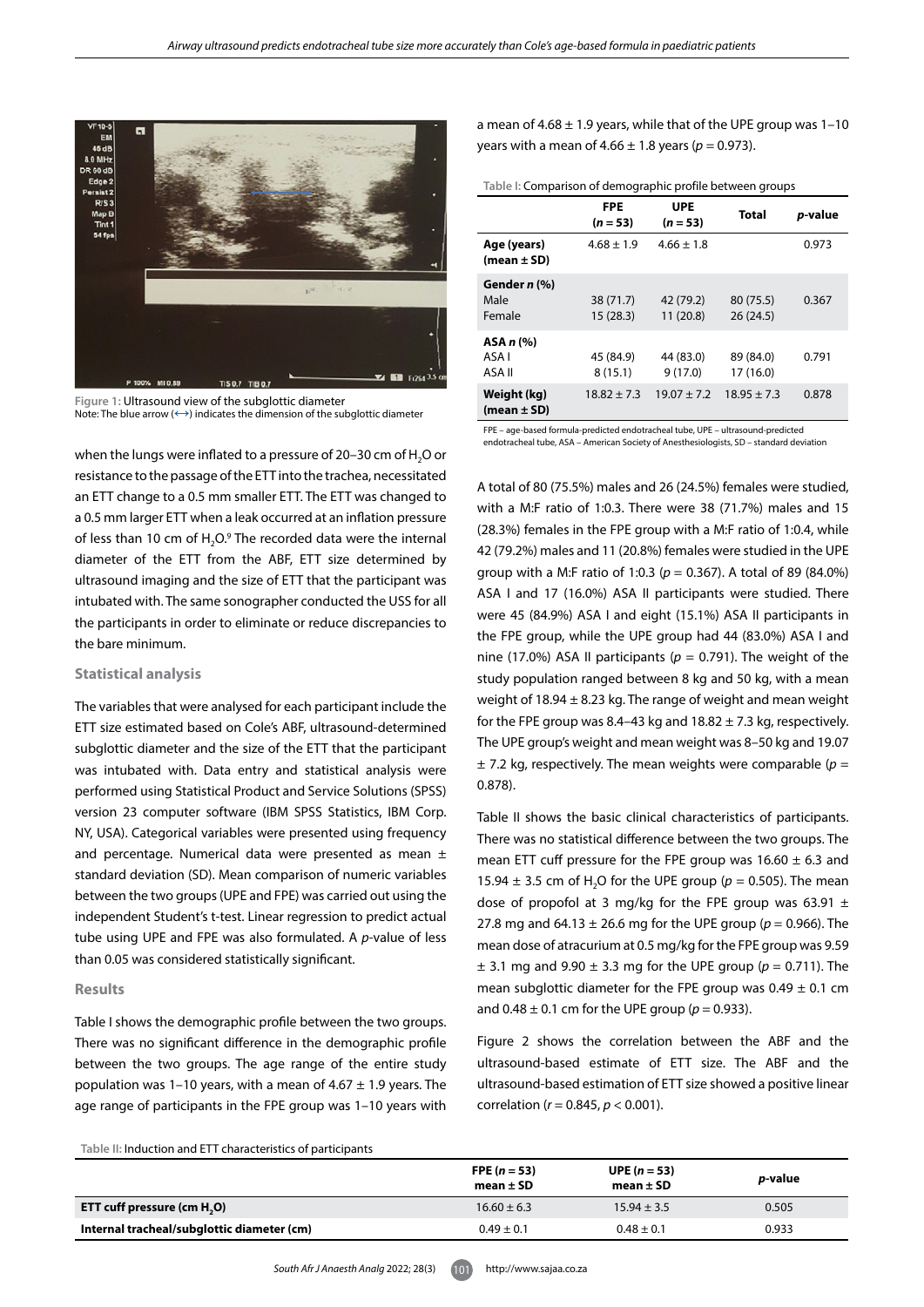

**Figure 1:** Ultrasound view of the subglottic diameter Note: The blue arrow  $(\leftrightarrow)$  indicates the dimension of the subglottic diameter

when the lungs were inflated to a pressure of 20–30 cm of  $H_2O$  or resistance to the passage of the ETT into the trachea, necessitated an ETT change to a 0.5 mm smaller ETT. The ETT was changed to a 0.5 mm larger ETT when a leak occurred at an inflation pressure of less than 10 cm of  $H_2O$ .<sup>9</sup> The recorded data were the internal diameter of the ETT from the ABF, ETT size determined by ultrasound imaging and the size of ETT that the participant was intubated with. The same sonographer conducted the USS for all the participants in order to eliminate or reduce discrepancies to the bare minimum.

#### **Statistical analysis**

The variables that were analysed for each participant include the ETT size estimated based on Cole's ABF, ultrasound-determined subglottic diameter and the size of the ETT that the participant was intubated with. Data entry and statistical analysis were performed using Statistical Product and Service Solutions (SPSS) version 23 computer software (IBM SPSS Statistics, IBM Corp. NY, USA). Categorical variables were presented using frequency and percentage. Numerical data were presented as mean ± standard deviation (SD). Mean comparison of numeric variables between the two groups (UPE and FPE) was carried out using the independent Student's t-test. Linear regression to predict actual tube using UPE and FPE was also formulated. A *p*-value of less than 0.05 was considered statistically significant.

#### **Results**

Table I shows the demographic profile between the two groups. There was no significant difference in the demographic profile between the two groups. The age range of the entire study population was 1–10 years, with a mean of  $4.67 \pm 1.9$  years. The age range of participants in the FPE group was 1–10 years with

a mean of  $4.68 \pm 1.9$  years, while that of the UPE group was 1-10 years with a mean of  $4.66 \pm 1.8$  years ( $p = 0.973$ ).

| Table I: Comparison of demographic profile between groups |
|-----------------------------------------------------------|
|-----------------------------------------------------------|

|                                | <b>FPE</b><br>$(n = 53)$ | UPE<br>$(n = 53)$     | <b>Total</b>           | <i>p</i> -value |
|--------------------------------|--------------------------|-----------------------|------------------------|-----------------|
| Age (years)<br>$(mean \pm SD)$ | $4.68 \pm 1.9$           | $4.66 \pm 1.8$        |                        | 0.973           |
| Gender n (%)<br>Male<br>Female | 38 (71.7)<br>15(28.3)    | 42 (79.2)<br>11(20.8) | 80 (75.5)<br>26(24.5)  | 0.367           |
| ASA n (%)<br>ASA I<br>ASA II   | 45 (84.9)<br>8(15.1)     | 44 (83.0)<br>9(17.0)  | 89 (84.0)<br>17 (16.0) | 0.791           |
| Weight (kg)<br>(mean ± SD)     | $18.82 \pm 7.3$          | $19.07 \pm 7.2$       | $18.95 \pm 7.3$        | 0.878           |

FPE – age-based formula-predicted endotracheal tube, UPE – ultrasound-predicted endotracheal tube, ASA – American Society of Anesthesiologists, SD – standard deviation

A total of 80 (75.5%) males and 26 (24.5%) females were studied, with a M:F ratio of 1:0.3. There were 38 (71.7%) males and 15 (28.3%) females in the FPE group with a M:F ratio of 1:0.4, while 42 (79.2%) males and 11 (20.8%) females were studied in the UPE group with a M:F ratio of 1:0.3 (*p* = 0.367). A total of 89 (84.0%) ASA I and 17 (16.0%) ASA II participants were studied. There were 45 (84.9%) ASA I and eight (15.1%) ASA II participants in the FPE group, while the UPE group had 44 (83.0%) ASA I and nine (17.0%) ASA II participants ( $p = 0.791$ ). The weight of the study population ranged between 8 kg and 50 kg, with a mean weight of 18.94  $\pm$  8.23 kg. The range of weight and mean weight for the FPE group was 8.4–43 kg and  $18.82 \pm 7.3$  kg, respectively. The UPE group's weight and mean weight was 8–50 kg and 19.07  $\pm$  7.2 kg, respectively. The mean weights were comparable ( $p =$ 0.878).

Table II shows the basic clinical characteristics of participants. There was no statistical difference between the two groups. The mean ETT cuff pressure for the FPE group was  $16.60 \pm 6.3$  and 15.94  $\pm$  3.5 cm of H<sub>2</sub>O for the UPE group ( $p = 0.505$ ). The mean dose of propofol at 3 mg/kg for the FPE group was 63.91  $\pm$ 27.8 mg and  $64.13 \pm 26.6$  mg for the UPE group ( $p = 0.966$ ). The mean dose of atracurium at 0.5 mg/kg for the FPE group was 9.59  $±$  3.1 mg and 9.90  $±$  3.3 mg for the UPE group ( $p = 0.711$ ). The mean subglottic diameter for the FPE group was  $0.49 \pm 0.1$  cm and  $0.48 \pm 0.1$  cm for the UPE group ( $p = 0.933$ ).

Figure 2 shows the correlation between the ABF and the ultrasound-based estimate of ETT size. The ABF and the ultrasound-based estimation of ETT size showed a positive linear correlation (*r* = 0.845, *p* < 0.001).

**Table II:** Induction and ETT characteristics of participants

|                                            | FPE $(n = 53)$<br>mean $\pm$ SD | <b>UPE</b> $(n = 53)$<br>mean $\pm$ SD | <i>p</i> -value |
|--------------------------------------------|---------------------------------|----------------------------------------|-----------------|
| ETT cuff pressure (cm H.O)                 | $16.60 \pm 6.3$                 | $15.94 \pm 3.5$                        | 0.505           |
| Internal tracheal/subglottic diameter (cm) | $0.49 \pm 0.1$                  | $0.48 \pm 0.1$                         | 0.933           |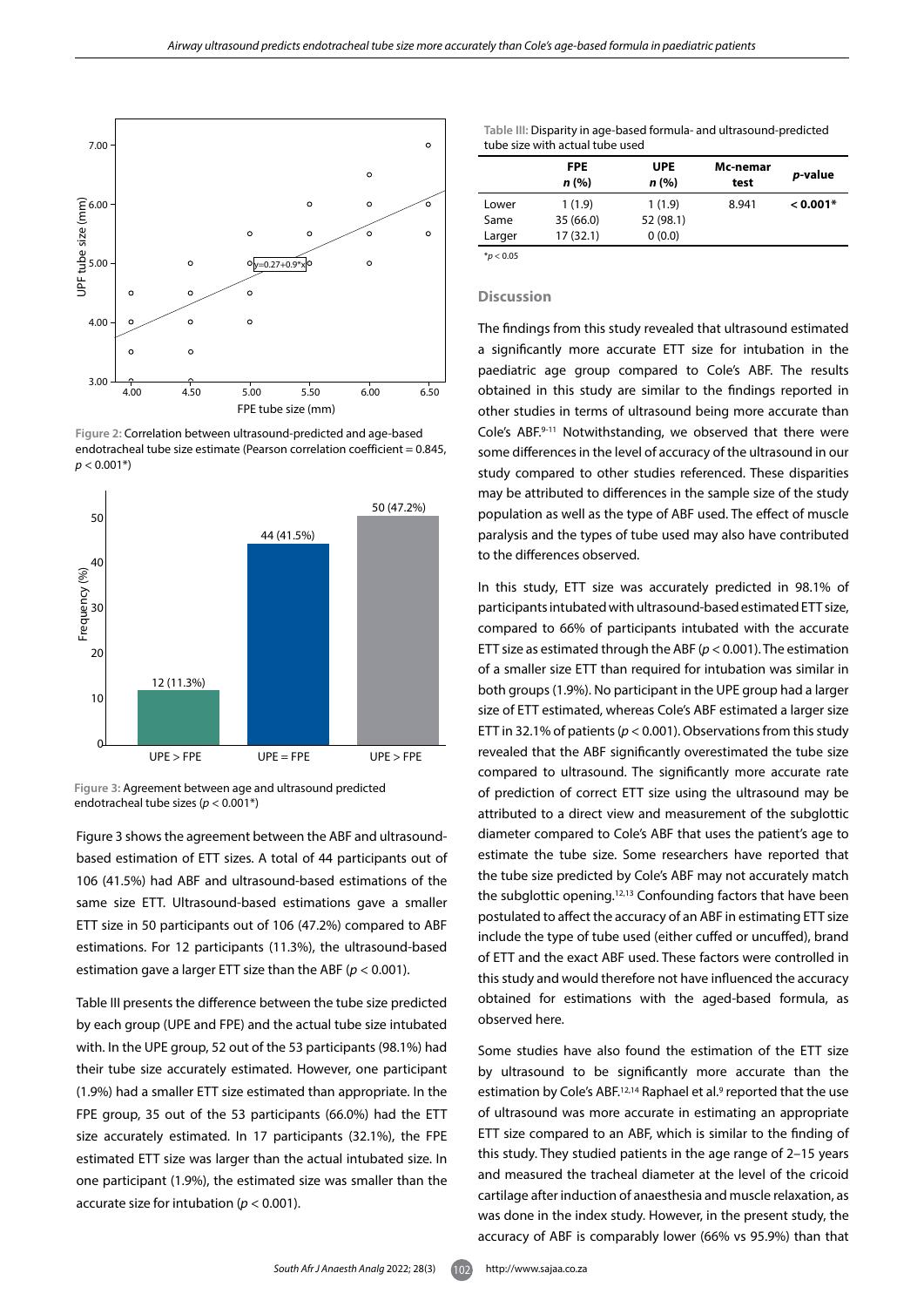

**Figure 2:** Correlation between ultrasound-predicted and age-based endotracheal tube size estimate (Pearson correlation coefficient = 0.845,  $p < 0.001*$ 



**Figure 3:** Agreement between age and ultrasound predicted endotracheal tube sizes (*p* < 0.001\*)

Figure 3 shows the agreement between the ABF and ultrasoundbased estimation of ETT sizes. A total of 44 participants out of 106 (41.5%) had ABF and ultrasound-based estimations of the same size ETT. Ultrasound-based estimations gave a smaller ETT size in 50 participants out of 106 (47.2%) compared to ABF estimations. For 12 participants (11.3%), the ultrasound-based estimation gave a larger ETT size than the ABF (*p* < 0.001).

Table III presents the difference between the tube size predicted by each group (UPE and FPE) and the actual tube size intubated with. In the UPE group, 52 out of the 53 participants (98.1%) had their tube size accurately estimated. However, one participant (1.9%) had a smaller ETT size estimated than appropriate. In the FPE group, 35 out of the 53 participants (66.0%) had the ETT size accurately estimated. In 17 participants (32.1%), the FPE estimated ETT size was larger than the actual intubated size. In one participant (1.9%), the estimated size was smaller than the accurate size for intubation (*p* < 0.001).

**Table III:** Disparity in age-based formula- and ultrasound-predicted tube size with actual tube used

|        | <b>FPE</b><br>n (%) | <b>UPE</b><br>n (%) | Mc-nemar<br>test | <i>p</i> -value |
|--------|---------------------|---------------------|------------------|-----------------|
| Lower  | 1(1.9)              | 1(1.9)              | 8.941            | $< 0.001*$      |
| Same   | 35(66.0)            | 52 (98.1)           |                  |                 |
| Larger | 17(32.1)            | 0(0.0)              |                  |                 |

 $*$ *p* < 0.05

# **Discussion**

The findings from this study revealed that ultrasound estimated a significantly more accurate ETT size for intubation in the paediatric age group compared to Cole's ABF. The results obtained in this study are similar to the findings reported in other studies in terms of ultrasound being more accurate than Cole's ABF.9-11 Notwithstanding, we observed that there were some differences in the level of accuracy of the ultrasound in our study compared to other studies referenced. These disparities may be attributed to differences in the sample size of the study population as well as the type of ABF used. The effect of muscle paralysis and the types of tube used may also have contributed to the differences observed.

In this study, ETT size was accurately predicted in 98.1% of participants intubated with ultrasound-based estimated ETT size, compared to 66% of participants intubated with the accurate ETT size as estimated through the ABF (*p* < 0.001). The estimation of a smaller size ETT than required for intubation was similar in both groups (1.9%). No participant in the UPE group had a larger size of ETT estimated, whereas Cole's ABF estimated a larger size ETT in 32.1% of patients (*p* < 0.001). Observations from this study revealed that the ABF significantly overestimated the tube size compared to ultrasound. The significantly more accurate rate of prediction of correct ETT size using the ultrasound may be attributed to a direct view and measurement of the subglottic diameter compared to Cole's ABF that uses the patient's age to estimate the tube size. Some researchers have reported that the tube size predicted by Cole's ABF may not accurately match the subglottic opening.12,13 Confounding factors that have been postulated to affect the accuracy of an ABF in estimating ETT size include the type of tube used (either cuffed or uncuffed), brand of ETT and the exact ABF used. These factors were controlled in this study and would therefore not have influenced the accuracy obtained for estimations with the aged-based formula, as observed here.

Some studies have also found the estimation of the ETT size by ultrasound to be significantly more accurate than the estimation by Cole's ABF.<sup>12,14</sup> Raphael et al.<sup>9</sup> reported that the use of ultrasound was more accurate in estimating an appropriate ETT size compared to an ABF, which is similar to the finding of this study. They studied patients in the age range of 2–15 years and measured the tracheal diameter at the level of the cricoid cartilage after induction of anaesthesia and muscle relaxation, as was done in the index study. However, in the present study, the accuracy of ABF is comparably lower (66% vs 95.9%) than that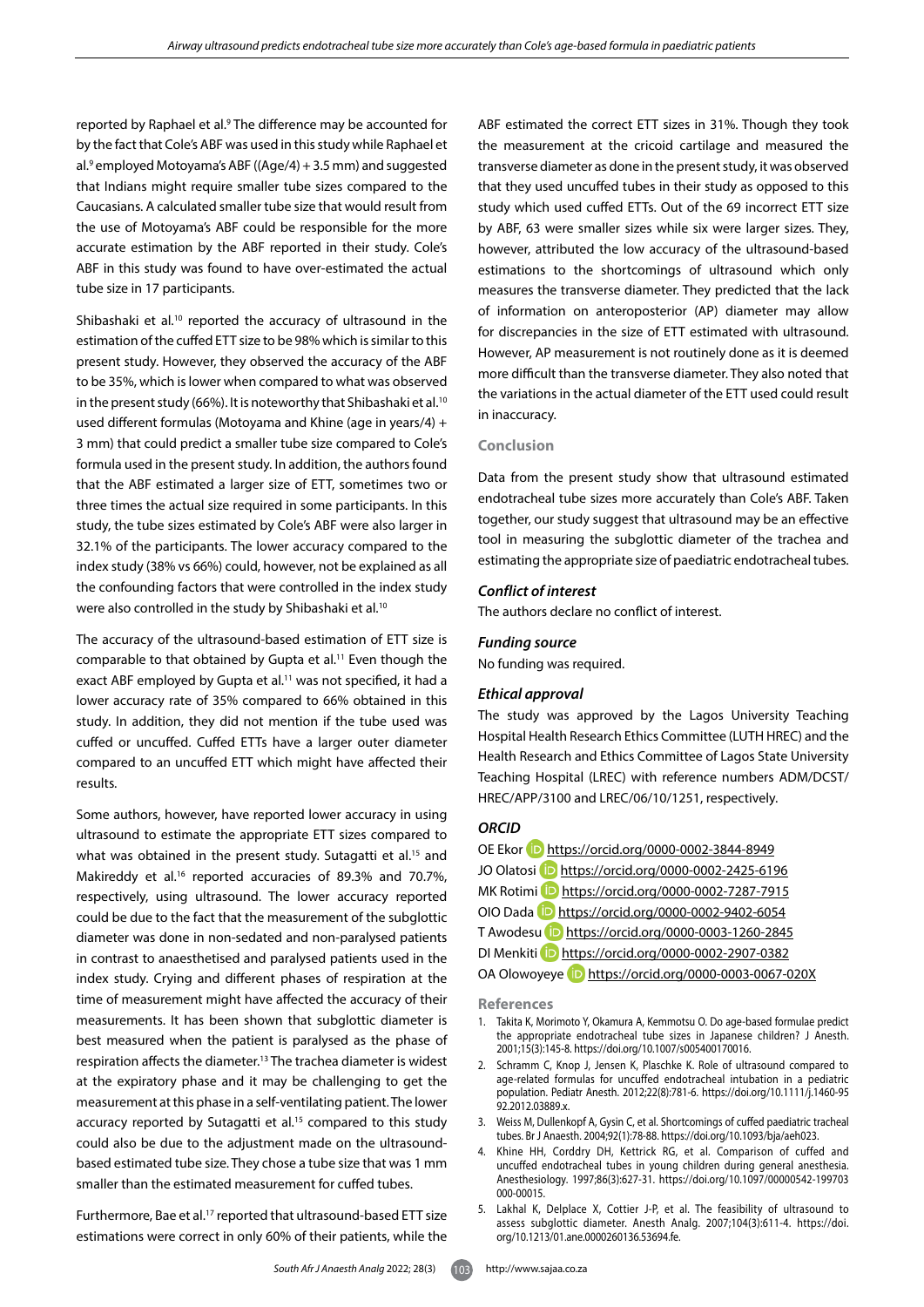reported by Raphael et al.<sup>9</sup> The difference may be accounted for by the fact that Cole's ABF was used in this study while Raphael et al.<sup>9</sup> employed Motoyama's ABF ( $(Aae/4) + 3.5$  mm) and suggested that Indians might require smaller tube sizes compared to the Caucasians. A calculated smaller tube size that would result from the use of Motoyama's ABF could be responsible for the more accurate estimation by the ABF reported in their study. Cole's ABF in this study was found to have over-estimated the actual tube size in 17 participants.

Shibashaki et al.<sup>10</sup> reported the accuracy of ultrasound in the estimation of the cuffed ETT size to be 98% which is similar to this present study. However, they observed the accuracy of the ABF to be 35%, which is lower when compared to what was observed in the present study (66%). It is noteworthy that Shibashaki et al.<sup>10</sup> used different formulas (Motoyama and Khine (age in years/4) + 3 mm) that could predict a smaller tube size compared to Cole's formula used in the present study. In addition, the authors found that the ABF estimated a larger size of ETT, sometimes two or three times the actual size required in some participants. In this study, the tube sizes estimated by Cole's ABF were also larger in 32.1% of the participants. The lower accuracy compared to the index study (38% vs 66%) could, however, not be explained as all the confounding factors that were controlled in the index study were also controlled in the study by Shibashaki et al.<sup>10</sup>

The accuracy of the ultrasound-based estimation of ETT size is comparable to that obtained by Gupta et al.<sup>11</sup> Even though the exact ABF employed by Gupta et al.<sup>11</sup> was not specified, it had a lower accuracy rate of 35% compared to 66% obtained in this study. In addition, they did not mention if the tube used was cuffed or uncuffed. Cuffed ETTs have a larger outer diameter compared to an uncuffed ETT which might have affected their results.

Some authors, however, have reported lower accuracy in using ultrasound to estimate the appropriate ETT sizes compared to what was obtained in the present study. Sutagatti et al.<sup>15</sup> and Makireddy et al.16 reported accuracies of 89.3% and 70.7%, respectively, using ultrasound. The lower accuracy reported could be due to the fact that the measurement of the subglottic diameter was done in non-sedated and non-paralysed patients in contrast to anaesthetised and paralysed patients used in the index study. Crying and different phases of respiration at the time of measurement might have affected the accuracy of their measurements. It has been shown that subglottic diameter is best measured when the patient is paralysed as the phase of respiration affects the diameter.13 The trachea diameter is widest at the expiratory phase and it may be challenging to get the measurement at this phase in a self-ventilating patient. The lower accuracy reported by Sutagatti et al.<sup>15</sup> compared to this study could also be due to the adjustment made on the ultrasoundbased estimated tube size. They chose a tube size that was 1 mm smaller than the estimated measurement for cuffed tubes.

Furthermore, Bae et al.<sup>17</sup> reported that ultrasound-based ETT size estimations were correct in only 60% of their patients, while the

ABF estimated the correct ETT sizes in 31%. Though they took the measurement at the cricoid cartilage and measured the transverse diameter as done in the present study, it was observed that they used uncuffed tubes in their study as opposed to this study which used cuffed ETTs. Out of the 69 incorrect ETT size by ABF, 63 were smaller sizes while six were larger sizes. They, however, attributed the low accuracy of the ultrasound-based estimations to the shortcomings of ultrasound which only measures the transverse diameter. They predicted that the lack of information on anteroposterior (AP) diameter may allow for discrepancies in the size of ETT estimated with ultrasound. However, AP measurement is not routinely done as it is deemed more difficult than the transverse diameter. They also noted that the variations in the actual diameter of the ETT used could result in inaccuracy.

## **Conclusion**

Data from the present study show that ultrasound estimated endotracheal tube sizes more accurately than Cole's ABF. Taken together, our study suggest that ultrasound may be an effective tool in measuring the subglottic diameter of the trachea and estimating the appropriate size of paediatric endotracheal tubes.

## *Conflict of interest*

The authors declare no conflict of interest.

## *Funding source*

No funding was required.

## *Ethical approval*

The study was approved by the Lagos University Teaching Hospital Health Research Ethics Committee (LUTH HREC) and the Health Research and Ethics Committee of Lagos State University Teaching Hospital (LREC) with reference numbers ADM/DCST/ HREC/APP/3100 and LREC/06/10/1251, respectively.

## *ORCID*

| OE Ekor D https://orcid.org/0000-0002-3844-8949      |
|------------------------------------------------------|
| JO Olatosi D https://orcid.org/0000-0002-2425-6196   |
| MK Rotimi D https://orcid.org/0000-0002-7287-7915    |
| OIO Dada D https://orcid.org/0000-0002-9402-6054     |
| T Awodesu D https://orcid.org/0000-0003-1260-2845    |
| DI Menkiti D https://orcid.org/0000-0002-2907-0382   |
| OA Olowoyeye D https://orcid.org/0000-0003-0067-020X |

**References**

- 1. Takita K, Morimoto Y, Okamura A, Kemmotsu O. Do age-based formulae predict the appropriate endotracheal tube sizes in Japanese children? J Anesth. 2001;15(3):145-8. https://doi.org/10.1007/s005400170016.
- 2. Schramm C, Knop J, Jensen K, Plaschke K. Role of ultrasound compared to age-related formulas for uncuffed endotracheal intubation in a pediatric population. Pediatr Anesth. 2012;22(8):781-6. https://doi.org/10.1111/j.1460-95 92.2012.03889.x.
- 3. Weiss M, Dullenkopf A, Gysin C, et al. Shortcomings of cuffed paediatric tracheal tubes. Br J Anaesth. 2004;92(1):78-88. https://doi.org/10.1093/bja/aeh023.
- 4. Khine HH, Corddry DH, Kettrick RG, et al. Comparison of cuffed and uncuffed endotracheal tubes in young children during general anesthesia. Anesthesiology. 1997;86(3):627-31. https://doi.org/10.1097/00000542-199703 000-00015.
- 5. Lakhal K, Delplace X, Cottier J-P, et al. The feasibility of ultrasound to assess subglottic diameter. Anesth Analg. 2007;104(3):611-4. https://doi. org/10.1213/01.ane.0000260136.53694.fe.